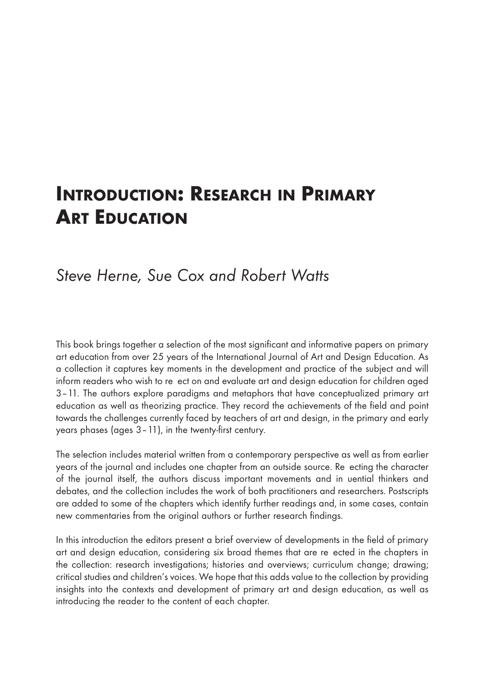# **INTRODUCTION: RESEARCH IN PRIMARY ART EDUCATION**

## Steve Herne, Sue Cox and Robert Watts

This book brings together a selection of the most significant and informative papers on primary art education from over 25 years of the International Journal of Art and Design Education. As a collection it captures key moments in the development and practice of the subject and will inform readers who wish to re ect on and evaluate art and design education for children aged 3–11. The authors explore paradigms and metaphors that have conceptualized primary art education as well as theorizing practice. They record the achievements of the field and point towards the challenges currently faced by teachers of art and design, in the primary and early years phases (ages 3–11), in the twenty-first century.

The selection includes material written from a contemporary perspective as well as from earlier years of the journal and includes one chapter from an outside source. Re ecting the character of the journal itself, the authors discuss important movements and in uential thinkers and debates, and the collection includes the work of both practitioners and researchers. Postscripts are added to some of the chapters which identify further readings and, in some cases, contain new commentaries from the original authors or further research findings.

In this introduction the editors present a brief overview of developments in the field of primary art and design education, considering six broad themes that are re ected in the chapters in the collection: research investigations; histories and overviews; curriculum change; drawing; critical studies and children's voices. We hope that this adds value to the collection by providing insights into the contexts and development of primary art and design education, as well as introducing the reader to the content of each chapter.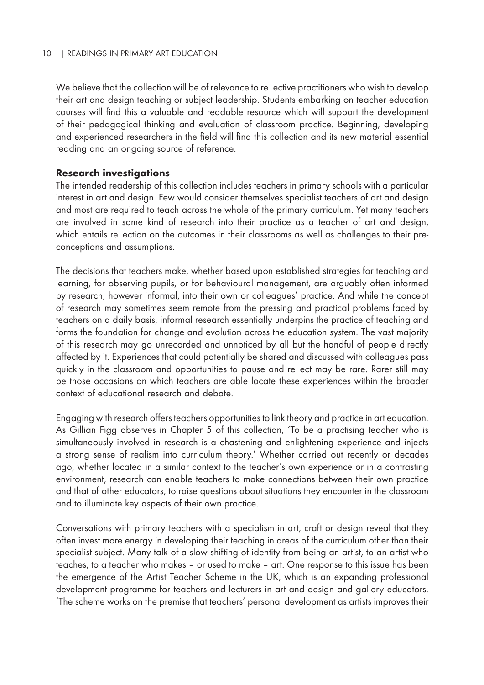We believe that the collection will be of relevance to reective practitioners who wish to develop their art and design teaching or subject leadership. Students embarking on teacher education courses will find this a valuable and readable resource which will support the development of their pedagogical thinking and evaluation of classroom practice. Beginning, developing and experienced researchers in the field will find this collection and its new material essential reading and an ongoing source of reference.

## **Research investigations**

The intended readership of this collection includes teachers in primary schools with a particular interest in art and design. Few would consider themselves specialist teachers of art and design and most are required to teach across the whole of the primary curriculum. Yet many teachers are involved in some kind of research into their practice as a teacher of art and design, which entails re ection on the outcomes in their classrooms as well as challenges to their preconceptions and assumptions.

The decisions that teachers make, whether based upon established strategies for teaching and learning, for observing pupils, or for behavioural management, are arguably often informed by research, however informal, into their own or colleagues' practice. And while the concept of research may sometimes seem remote from the pressing and practical problems faced by teachers on a daily basis, informal research essentially underpins the practice of teaching and forms the foundation for change and evolution across the education system. The vast majority of this research may go unrecorded and unnoticed by all but the handful of people directly affected by it. Experiences that could potentially be shared and discussed with colleagues pass quickly in the classroom and opportunities to pause and re ect may be rare. Rarer still may be those occasions on which teachers are able locate these experiences within the broader context of educational research and debate.

Engaging with research offers teachers opportunities to link theory and practice in art education. As Gillian Figg observes in Chapter 5 of this collection, 'To be a practising teacher who is simultaneously involved in research is a chastening and enlightening experience and injects a strong sense of realism into curriculum theory.' Whether carried out recently or decades ago, whether located in a similar context to the teacher's own experience or in a contrasting environment, research can enable teachers to make connections between their own practice and that of other educators, to raise questions about situations they encounter in the classroom and to illuminate key aspects of their own practice.

Conversations with primary teachers with a specialism in art, craft or design reveal that they often invest more energy in developing their teaching in areas of the curriculum other than their specialist subject. Many talk of a slow shifting of identity from being an artist, to an artist who teaches, to a teacher who makes – or used to make – art. One response to this issue has been the emergence of the Artist Teacher Scheme in the UK, which is an expanding professional development programme for teachers and lecturers in art and design and gallery educators. 'The scheme works on the premise that teachers' personal development as artists improves their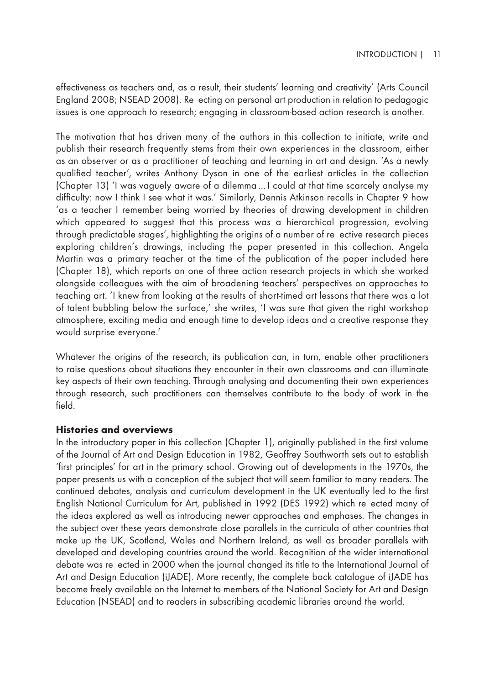effectiveness as teachers and, as a result, their students' learning and creativity' (Arts Council England 2008; NSEAD 2008). Re ecting on personal art production in relation to pedagogic issues is one approach to research; engaging in classroom-based action research is another.

The motivation that has driven many of the authors in this collection to initiate, write and publish their research frequently stems from their own experiences in the classroom, either as an observer or as a practitioner of teaching and learning in art and design. 'As a newly qualified teacher', writes Anthony Dyson in one of the earliest articles in the collection (Chapter 13) 'I was vaguely aware of a dilemma…I could at that time scarcely analyse my difficulty: now I think I see what it was.' Similarly, Dennis Atkinson recalls in Chapter 9 how 'as a teacher I remember being worried by theories of drawing development in children which appeared to suggest that this process was a hierarchical progression, evolving through predictable stages', highlighting the origins of a number of re ective research pieces exploring children's drawings, including the paper presented in this collection. Angela Martin was a primary teacher at the time of the publication of the paper included here (Chapter 18), which reports on one of three action research projects in which she worked alongside colleagues with the aim of broadening teachers' perspectives on approaches to teaching art. 'I knew from looking at the results of short-timed art lessons that there was a lot of talent bubbling below the surface,' she writes, 'I was sure that given the right workshop atmosphere, exciting media and enough time to develop ideas and a creative response they would surprise everyone.'

Whatever the origins of the research, its publication can, in turn, enable other practitioners to raise questions about situations they encounter in their own classrooms and can illuminate key aspects of their own teaching. Through analysing and documenting their own experiences through research, such practitioners can themselves contribute to the body of work in the field.

## **Histories and overviews**

In the introductory paper in this collection (Chapter 1), originally published in the first volume of the Journal of Art and Design Education in 1982, Geoffrey Southworth sets out to establish 'first principles' for art in the primary school. Growing out of developments in the 1970s, the paper presents us with a conception of the subject that will seem familiar to many readers. The continued debates, analysis and curriculum development in the UK eventually led to the first English National Curriculum for Art, published in 1992 (DES 1992) which re ected many of the ideas explored as well as introducing newer approaches and emphases. The changes in the subject over these years demonstrate close parallels in the curricula of other countries that make up the UK, Scotland, Wales and Northern Ireland, as well as broader parallels with developed and developing countries around the world. Recognition of the wider international debate was re ected in 2000 when the journal changed its title to the International Journal of Art and Design Education (iJADE). More recently, the complete back catalogue of iJADE has become freely available on the Internet to members of the National Society for Art and Design Education (NSEAD) and to readers in subscribing academic libraries around the world.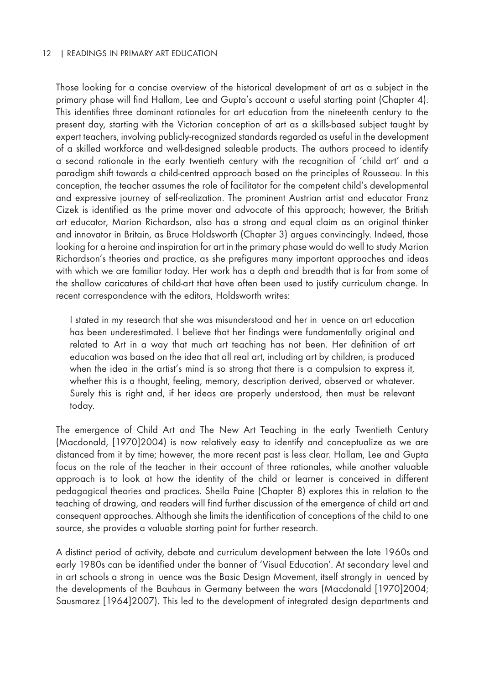Those looking for a concise overview of the historical development of art as a subject in the primary phase will find Hallam, Lee and Gupta's account a useful starting point (Chapter 4). This identifies three dominant rationales for art education from the nineteenth century to the present day, starting with the Victorian conception of art as a skills-based subject taught by expert teachers, involving publicly-recognized standards regarded as useful in the development of a skilled workforce and well-designed saleable products. The authors proceed to identify a second rationale in the early twentieth century with the recognition of 'child art' and a paradigm shift towards a child-centred approach based on the principles of Rousseau. In this conception, the teacher assumes the role of facilitator for the competent child's developmental and expressive journey of self-realization. The prominent Austrian artist and educator Franz Cizek is identified as the prime mover and advocate of this approach; however, the British art educator, Marion Richardson, also has a strong and equal claim as an original thinker and innovator in Britain, as Bruce Holdsworth (Chapter 3) argues convincingly. Indeed, those looking for a heroine and inspiration for art in the primary phase would do well to study Marion Richardson's theories and practice, as she prefigures many important approaches and ideas with which we are familiar today. Her work has a depth and breadth that is far from some of the shallow caricatures of child-art that have often been used to justify curriculum change. In recent correspondence with the editors, Holdsworth writes:

I stated in my research that she was misunderstood and her in uence on art education has been underestimated. I believe that her findings were fundamentally original and related to Art in a way that much art teaching has not been. Her definition of art education was based on the idea that all real art, including art by children, is produced when the idea in the artist's mind is so strong that there is a compulsion to express it, whether this is a thought, feeling, memory, description derived, observed or whatever. Surely this is right and, if her ideas are properly understood, then must be relevant today.

The emergence of Child Art and The New Art Teaching in the early Twentieth Century (Macdonald, [1970]2004) is now relatively easy to identify and conceptualize as we are distanced from it by time; however, the more recent past is less clear. Hallam, Lee and Gupta focus on the role of the teacher in their account of three rationales, while another valuable approach is to look at how the identity of the child or learner is conceived in different pedagogical theories and practices. Sheila Paine (Chapter 8) explores this in relation to the teaching of drawing, and readers will find further discussion of the emergence of child art and consequent approaches. Although she limits the identification of conceptions of the child to one source, she provides a valuable starting point for further research.

A distinct period of activity, debate and curriculum development between the late 1960s and early 1980s can be identified under the banner of 'Visual Education'. At secondary level and in art schools a strong in uence was the Basic Design Movement, itself strongly in uenced by the developments of the Bauhaus in Germany between the wars (Macdonald [1970]2004; Sausmarez [1964]2007). This led to the development of integrated design departments and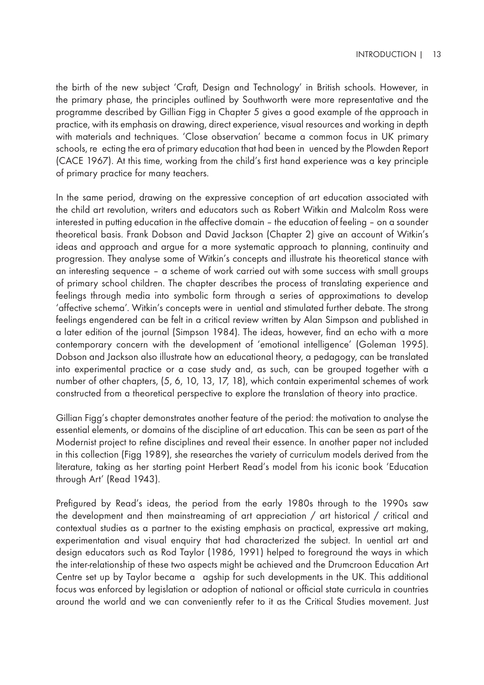the birth of the new subject 'Craft, Design and Technology' in British schools. However, in the primary phase, the principles outlined by Southworth were more representative and the programme described by Gillian Figg in Chapter 5 gives a good example of the approach in practice, with its emphasis on drawing, direct experience, visual resources and working in depth with materials and techniques. 'Close observation' became a common focus in UK primary schools, re ecting the era of primary education that had been in uenced by the Plowden Report (CACE 1967). At this time, working from the child's first hand experience was a key principle of primary practice for many teachers.

In the same period, drawing on the expressive conception of art education associated with the child art revolution, writers and educators such as Robert Witkin and Malcolm Ross were interested in putting education in the affective domain – the education of feeling – on a sounder theoretical basis. Frank Dobson and David Jackson (Chapter 2) give an account of Witkin's ideas and approach and argue for a more systematic approach to planning, continuity and progression. They analyse some of Witkin's concepts and illustrate his theoretical stance with an interesting sequence – a scheme of work carried out with some success with small groups of primary school children. The chapter describes the process of translating experience and feelings through media into symbolic form through a series of approximations to develop 'affective schema'. Witkin's concepts were in uential and stimulated further debate. The strong feelings engendered can be felt in a critical review written by Alan Simpson and published in a later edition of the journal (Simpson 1984). The ideas, however, find an echo with a more contemporary concern with the development of 'emotional intelligence' (Goleman 1995). Dobson and Jackson also illustrate how an educational theory, a pedagogy, can be translated into experimental practice or a case study and, as such, can be grouped together with a number of other chapters, (5, 6, 10, 13, 17, 18), which contain experimental schemes of work constructed from a theoretical perspective to explore the translation of theory into practice.

Gillian Figg's chapter demonstrates another feature of the period: the motivation to analyse the essential elements, or domains of the discipline of art education. This can be seen as part of the Modernist project to refine disciplines and reveal their essence. In another paper not included in this collection (Figg 1989), she researches the variety of curriculum models derived from the literature, taking as her starting point Herbert Read's model from his iconic book 'Education through Art' (Read 1943).

Prefigured by Read's ideas, the period from the early 1980s through to the 1990s saw the development and then mainstreaming of art appreciation / art historical / critical and contextual studies as a partner to the existing emphasis on practical, expressive art making, experimentation and visual enquiry that had characterized the subject. In uential art and design educators such as Rod Taylor (1986, 1991) helped to foreground the ways in which the inter-relationship of these two aspects might be achieved and the Drumcroon Education Art Centre set up by Taylor became a agship for such developments in the UK. This additional focus was enforced by legislation or adoption of national or official state curricula in countries around the world and we can conveniently refer to it as the Critical Studies movement. Just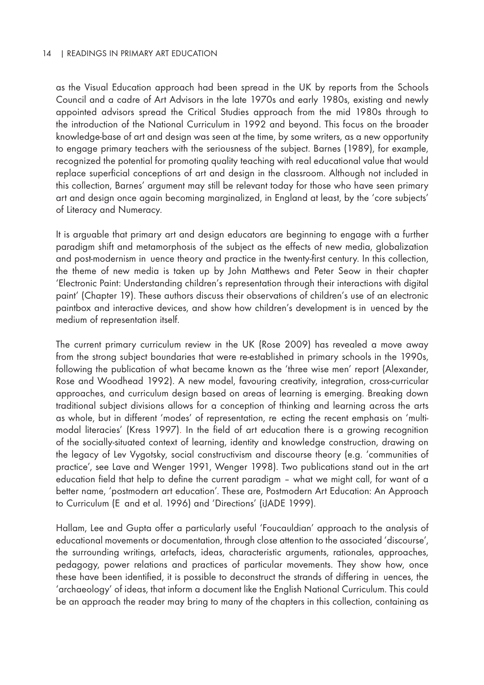as the Visual Education approach had been spread in the UK by reports from the Schools Council and a cadre of Art Advisors in the late 1970s and early 1980s, existing and newly appointed advisors spread the Critical Studies approach from the mid 1980s through to the introduction of the National Curriculum in 1992 and beyond. This focus on the broader knowledge-base of art and design was seen at the time, by some writers, as a new opportunity to engage primary teachers with the seriousness of the subject. Barnes (1989), for example, recognized the potential for promoting quality teaching with real educational value that would replace superficial conceptions of art and design in the classroom. Although not included in this collection, Barnes' argument may still be relevant today for those who have seen primary art and design once again becoming marginalized, in England at least, by the 'core subjects' of Literacy and Numeracy.

It is arguable that primary art and design educators are beginning to engage with a further paradigm shift and metamorphosis of the subject as the effects of new media, globalization and post-modernism in uence theory and practice in the twenty-first century. In this collection, the theme of new media is taken up by John Matthews and Peter Seow in their chapter 'Electronic Paint: Understanding children's representation through their interactions with digital paint' (Chapter 19). These authors discuss their observations of children's use of an electronic paintbox and interactive devices, and show how children's development is in uenced by the medium of representation itself.

The current primary curriculum review in the UK (Rose 2009) has revealed a move away from the strong subject boundaries that were re-established in primary schools in the 1990s, following the publication of what became known as the 'three wise men' report (Alexander, Rose and Woodhead 1992). A new model, favouring creativity, integration, cross-curricular approaches, and curriculum design based on areas of learning is emerging. Breaking down traditional subject divisions allows for a conception of thinking and learning across the arts as whole, but in different 'modes' of representation, re ecting the recent emphasis on 'multimodal literacies' (Kress 1997). In the field of art education there is a growing recognition of the socially-situated context of learning, identity and knowledge construction, drawing on the legacy of Lev Vygotsky, social constructivism and discourse theory (e.g. 'communities of practice', see Lave and Wenger 1991, Wenger 1998). Two publications stand out in the art education field that help to define the current paradigm – what we might call, for want of a better name, 'postmodern art education'. These are, Postmodern Art Education: An Approach to Curriculum (E and et al. 1996) and 'Directions' (iJADE 1999).

Hallam, Lee and Gupta offer a particularly useful 'Foucauldian' approach to the analysis of educational movements or documentation, through close attention to the associated 'discourse', the surrounding writings, artefacts, ideas, characteristic arguments, rationales, approaches, pedagogy, power relations and practices of particular movements. They show how, once these have been identified, it is possible to deconstruct the strands of differing in uences, the 'archaeology' of ideas, that inform a document like the English National Curriculum. This could be an approach the reader may bring to many of the chapters in this collection, containing as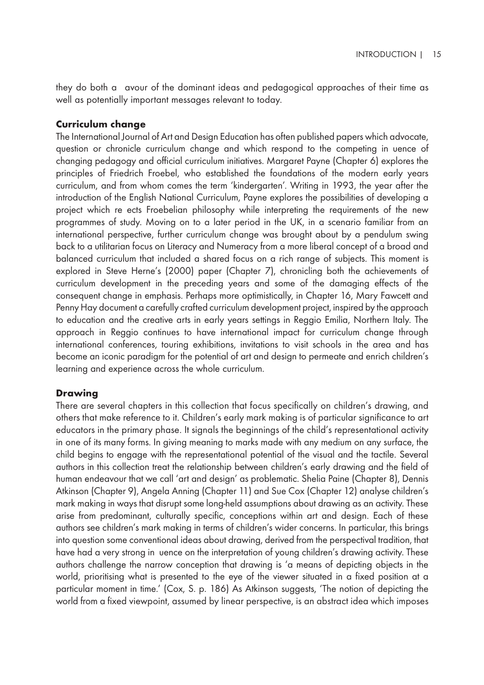they do both a avour of the dominant ideas and pedagogical approaches of their time as well as potentially important messages relevant to today.

## **Curriculum change**

The International Journal of Art and Design Education has often published papers which advocate, question or chronicle curriculum change and which respond to the competing in uence of changing pedagogy and official curriculum initiatives. Margaret Payne (Chapter 6) explores the principles of Friedrich Froebel, who established the foundations of the modern early years curriculum, and from whom comes the term 'kindergarten'. Writing in 1993, the year after the introduction of the English National Curriculum, Payne explores the possibilities of developing a project which re ects Froebelian philosophy while interpreting the requirements of the new programmes of study. Moving on to a later period in the UK, in a scenario familiar from an international perspective, further curriculum change was brought about by a pendulum swing back to a utilitarian focus on Literacy and Numeracy from a more liberal concept of a broad and balanced curriculum that included a shared focus on a rich range of subjects. This moment is explored in Steve Herne's (2000) paper (Chapter 7), chronicling both the achievements of curriculum development in the preceding years and some of the damaging effects of the consequent change in emphasis. Perhaps more optimistically, in Chapter 16, Mary Fawcett and Penny Hay document a carefully crafted curriculum development project, inspired by the approach to education and the creative arts in early years settings in Reggio Emilia, Northern Italy. The approach in Reggio continues to have international impact for curriculum change through international conferences, touring exhibitions, invitations to visit schools in the area and has become an iconic paradigm for the potential of art and design to permeate and enrich children's learning and experience across the whole curriculum.

## **Drawing**

There are several chapters in this collection that focus specifically on children's drawing, and others that make reference to it. Children's early mark making is of particular significance to art educators in the primary phase. It signals the beginnings of the child's representational activity in one of its many forms. In giving meaning to marks made with any medium on any surface, the child begins to engage with the representational potential of the visual and the tactile. Several authors in this collection treat the relationship between children's early drawing and the field of human endeavour that we call 'art and desian' as problematic. Shelia Paine (Chapter 8), Dennis Atkinson (Chapter 9), Angela Anning (Chapter 11) and Sue Cox (Chapter 12) analyse children's mark making in ways that disrupt some long-held assumptions about drawing as an activity. These arise from predominant, culturally specific, conceptions within art and design. Each of these authors see children's mark making in terms of children's wider concerns. In particular, this brings into question some conventional ideas about drawing, derived from the perspectival tradition, that have had a very strong in uence on the interpretation of young children's drawing activity. These authors challenge the narrow conception that drawing is 'a means of depicting objects in the world, prioritising what is presented to the eye of the viewer situated in a fixed position at a particular moment in time.' (Cox, S. p. 186) As Atkinson suggests, 'The notion of depicting the world from a fixed viewpoint, assumed by linear perspective, is an abstract idea which imposes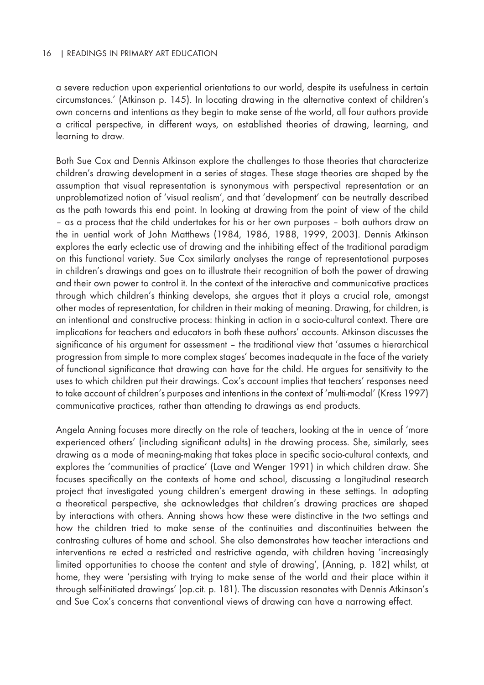a severe reduction upon experiential orientations to our world, despite its usefulness in certain circumstances.' (Atkinson p. 145). In locating drawing in the alternative context of children's own concerns and intentions as they begin to make sense of the world, all four authors provide a critical perspective, in different ways, on established theories of drawing, learning, and learning to draw.

Both Sue Cox and Dennis Atkinson explore the challenges to those theories that characterize children's drawing development in a series of stages. These stage theories are shaped by the assumption that visual representation is synonymous with perspectival representation or an unproblematized notion of 'visual realism', and that 'development' can be neutrally described as the path towards this end point. In looking at drawing from the point of view of the child – as a process that the child undertakes for his or her own purposes – both authors draw on the in uential work of John Matthews (1984, 1986, 1988, 1999, 2003). Dennis Atkinson explores the early eclectic use of drawing and the inhibiting effect of the traditional paradigm on this functional variety. Sue Cox similarly analyses the range of representational purposes in children's drawings and goes on to illustrate their recognition of both the power of drawing and their own power to control it. In the context of the interactive and communicative practices through which children's thinking develops, she argues that it plays a crucial role, amongst other modes of representation, for children in their making of meaning. Drawing, for children, is an intentional and constructive process: thinking in action in a socio-cultural context. There are implications for teachers and educators in both these authors' accounts. Atkinson discusses the significance of his argument for assessment – the traditional view that 'assumes a hierarchical progression from simple to more complex stages' becomes inadequate in the face of the variety of functional significance that drawing can have for the child. He argues for sensitivity to the uses to which children put their drawings. Cox's account implies that teachers' responses need to take account of children's purposes and intentions in the context of 'multi-modal' (Kress 1997) communicative practices, rather than attending to drawings as end products.

Angela Anning focuses more directly on the role of teachers, looking at the in uence of 'more experienced others' (including significant adults) in the drawing process. She, similarly, sees drawing as a mode of meaning-making that takes place in specific socio-cultural contexts, and explores the 'communities of practice' (Lave and Wenger 1991) in which children draw. She focuses specifically on the contexts of home and school, discussing a longitudinal research project that investigated young children's emergent drawing in these settings. In adopting a theoretical perspective, she acknowledges that children's drawing practices are shaped by interactions with others. Anning shows how these were distinctive in the two settings and how the children tried to make sense of the continuities and discontinuities between the contrasting cultures of home and school. She also demonstrates how teacher interactions and interventions re ected a restricted and restrictive agenda, with children having 'increasingly limited opportunities to choose the content and style of drawing', (Anning, p. 182) whilst, at home, they were 'persisting with trying to make sense of the world and their place within it through self-initiated drawings' (op.cit. p. 181). The discussion resonates with Dennis Atkinson's and Sue Cox's concerns that conventional views of drawing can have a narrowing effect.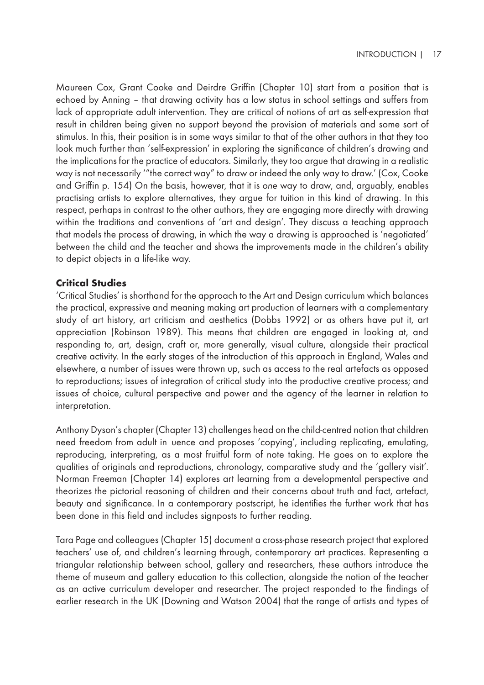Maureen Cox, Grant Cooke and Deirdre Griffin (Chapter 10) start from a position that is echoed by Anning – that drawing activity has a low status in school settings and suffers from lack of appropriate adult intervention. They are critical of notions of art as self-expression that result in children being given no support beyond the provision of materials and some sort of stimulus. In this, their position is in some ways similar to that of the other authors in that they too look much further than 'self-expression' in exploring the significance of children's drawing and the implications for the practice of educators. Similarly, they too argue that drawing in a realistic way is not necessarily '"the correct way" to draw or indeed the only way to draw.' (Cox, Cooke and Griffin p. 154) On the basis, however, that it is one way to draw, and, arguably, enables practising artists to explore alternatives, they argue for tuition in this kind of drawing. In this respect, perhaps in contrast to the other authors, they are engaging more directly with drawing within the traditions and conventions of 'art and design'. They discuss a teaching approach that models the process of drawing, in which the way a drawing is approached is 'negotiated' between the child and the teacher and shows the improvements made in the children's ability to depict objects in a life-like way.

## **Critical Studies**

'Critical Studies' is shorthand for the approach to the Art and Design curriculum which balances the practical, expressive and meaning making art production of learners with a complementary study of art history, art criticism and aesthetics (Dobbs 1992) or as others have put it, art appreciation (Robinson 1989). This means that children are engaged in looking at, and responding to, art, design, craft or, more generally, visual culture, alongside their practical creative activity. In the early stages of the introduction of this approach in England, Wales and elsewhere, a number of issues were thrown up, such as access to the real artefacts as opposed to reproductions; issues of integration of critical study into the productive creative process; and issues of choice, cultural perspective and power and the agency of the learner in relation to interpretation.

Anthony Dyson's chapter (Chapter 13) challenges head on the child-centred notion that children need freedom from adult in uence and proposes 'copying', including replicating, emulating, reproducing, interpreting, as a most fruitful form of note taking. He goes on to explore the qualities of originals and reproductions, chronology, comparative study and the 'gallery visit'. Norman Freeman (Chapter 14) explores art learning from a developmental perspective and theorizes the pictorial reasoning of children and their concerns about truth and fact, artefact, beauty and significance. In a contemporary postscript, he identifies the further work that has been done in this field and includes signposts to further reading.

Tara Page and colleagues (Chapter 15) document a cross-phase research project that explored teachers' use of, and children's learning through, contemporary art practices. Representing a triangular relationship between school, gallery and researchers, these authors introduce the theme of museum and gallery education to this collection, alongside the notion of the teacher as an active curriculum developer and researcher. The project responded to the findings of earlier research in the UK (Downing and Watson 2004) that the range of artists and types of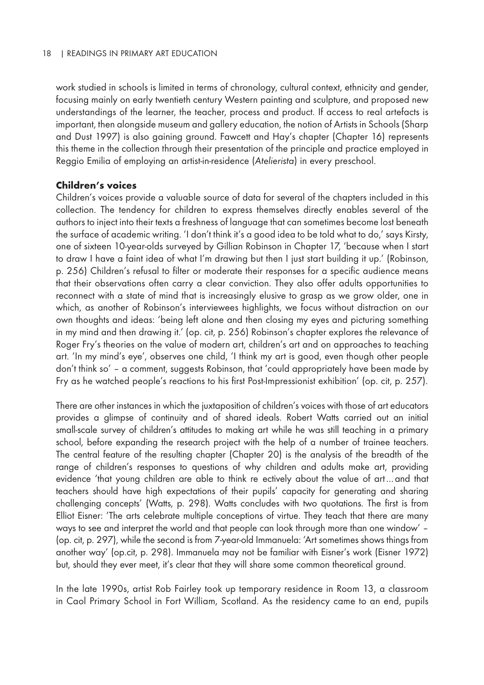work studied in schools is limited in terms of chronology, cultural context, ethnicity and gender, focusing mainly on early twentieth century Western painting and sculpture, and proposed new understandings of the learner, the teacher, process and product. If access to real artefacts is important, then alongside museum and gallery education, the notion of Artists in Schools (Sharp and Dust 1997) is also gaining ground. Fawcett and Hay's chapter (Chapter 16) represents this theme in the collection through their presentation of the principle and practice employed in Reggio Emilia of employing an artist-in-residence (Atelierista) in every preschool.

## **Children's voices**

Children's voices provide a valuable source of data for several of the chapters included in this collection. The tendency for children to express themselves directly enables several of the authors to inject into their texts a freshness of language that can sometimes become lost beneath the surface of academic writing. 'I don't think it's a good idea to be told what to do,' says Kirsty, one of sixteen 10-year-olds surveyed by Gillian Robinson in Chapter 17, 'because when I start to draw I have a faint idea of what I'm drawing but then I just start building it up.' (Robinson, p. 256) Children's refusal to filter or moderate their responses for a specific audience means that their observations often carry a clear conviction. They also offer adults opportunities to reconnect with a state of mind that is increasingly elusive to grasp as we grow older, one in which, as another of Robinson's interviewees highlights, we focus without distraction on our own thoughts and ideas: 'being left alone and then closing my eyes and picturing something in my mind and then drawing it.' (op. cit, p. 256) Robinson's chapter explores the relevance of Roger Fry's theories on the value of modern art, children's art and on approaches to teaching art. 'In my mind's eye', observes one child, 'I think my art is good, even though other people don't think so' – a comment, suggests Robinson, that 'could appropriately have been made by Fry as he watched people's reactions to his first Post-Impressionist exhibition' (op. cit, p. 257).

There are other instances in which the juxtaposition of children's voices with those of art educators provides a glimpse of continuity and of shared ideals. Robert Watts carried out an initial small-scale survey of children's attitudes to making art while he was still teaching in a primary school, before expanding the research project with the help of a number of trainee teachers. The central feature of the resulting chapter (Chapter 20) is the analysis of the breadth of the range of children's responses to questions of why children and adults make art, providing evidence 'that young children are able to think re ectively about the value of art…and that teachers should have high expectations of their pupils' capacity for generating and sharing challenging concepts' (Watts, p. 298). Watts concludes with two quotations. The first is from Elliot Eisner: 'The arts celebrate multiple conceptions of virtue. They teach that there are many ways to see and interpret the world and that people can look through more than one window' – (op. cit, p. 297), while the second is from 7-year-old Immanuela: 'Art sometimes shows things from another way' (op.cit, p. 298). Immanuela may not be familiar with Eisner's work (Eisner 1972) but, should they ever meet, it's clear that they will share some common theoretical ground.

In the late 1990s, artist Rob Fairley took up temporary residence in Room 13, a classroom in Caol Primary School in Fort William, Scotland. As the residency came to an end, pupils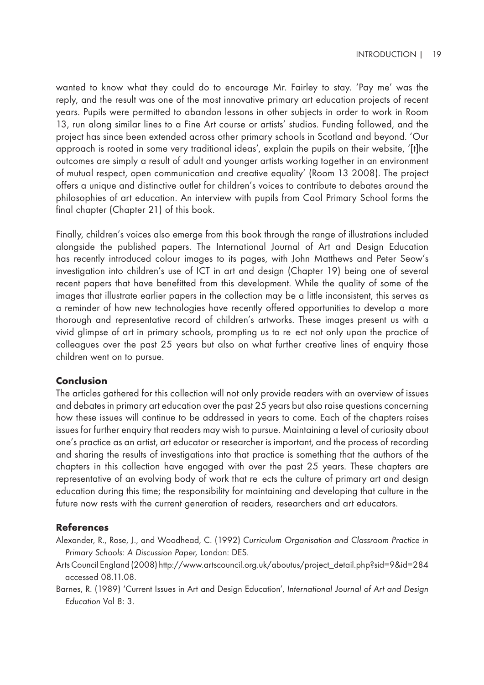wanted to know what they could do to encourage Mr. Fairley to stay. 'Pay me' was the reply, and the result was one of the most innovative primary art education projects of recent years. Pupils were permitted to abandon lessons in other subjects in order to work in Room 13, run along similar lines to a Fine Art course or artists' studios. Funding followed, and the project has since been extended across other primary schools in Scotland and beyond. 'Our approach is rooted in some very traditional ideas', explain the pupils on their website, '[t]he outcomes are simply a result of adult and younger artists working together in an environment of mutual respect, open communication and creative equality' (Room 13 2008). The project offers a unique and distinctive outlet for children's voices to contribute to debates around the philosophies of art education. An interview with pupils from Caol Primary School forms the final chapter (Chapter 21) of this book.

Finally, children's voices also emerge from this book through the range of illustrations included alongside the published papers. The International Journal of Art and Design Education has recently introduced colour images to its pages, with John Matthews and Peter Seow's investigation into children's use of ICT in art and design (Chapter 19) being one of several recent papers that have benefitted from this development. While the quality of some of the images that illustrate earlier papers in the collection may be a little inconsistent, this serves as a reminder of how new technologies have recently offered opportunities to develop a more thorough and representative record of children's artworks. These images present us with a vivid glimpse of art in primary schools, prompting us to re ect not only upon the practice of colleagues over the past 25 years but also on what further creative lines of enquiry those children went on to pursue.

#### **Conclusion**

The articles gathered for this collection will not only provide readers with an overview of issues and debates in primary art education over the past 25 years but also raise questions concerning how these issues will continue to be addressed in years to come. Each of the chapters raises issues for further enquiry that readers may wish to pursue. Maintaining a level of curiosity about one's practice as an artist, art educator or researcher is important, and the process of recording and sharing the results of investigations into that practice is something that the authors of the chapters in this collection have engaged with over the past 25 years. These chapters are representative of an evolving body of work that re ects the culture of primary art and design education during this time; the responsibility for maintaining and developing that culture in the future now rests with the current generation of readers, researchers and art educators.

#### **References**

- Alexander, R., Rose, J., and Woodhead, C. (1992) Curriculum Organisation and Classroom Practice in Primary Schools: A Discussion Paper, London: DES.
- Arts Council England (2008) http://www.artscouncil.org.uk/aboutus/project\_detail.php?sid=9&id=284 accessed 08.11.08.
- Barnes, R. (1989) 'Current Issues in Art and Design Education', International Journal of Art and Design Education Vol 8: 3.